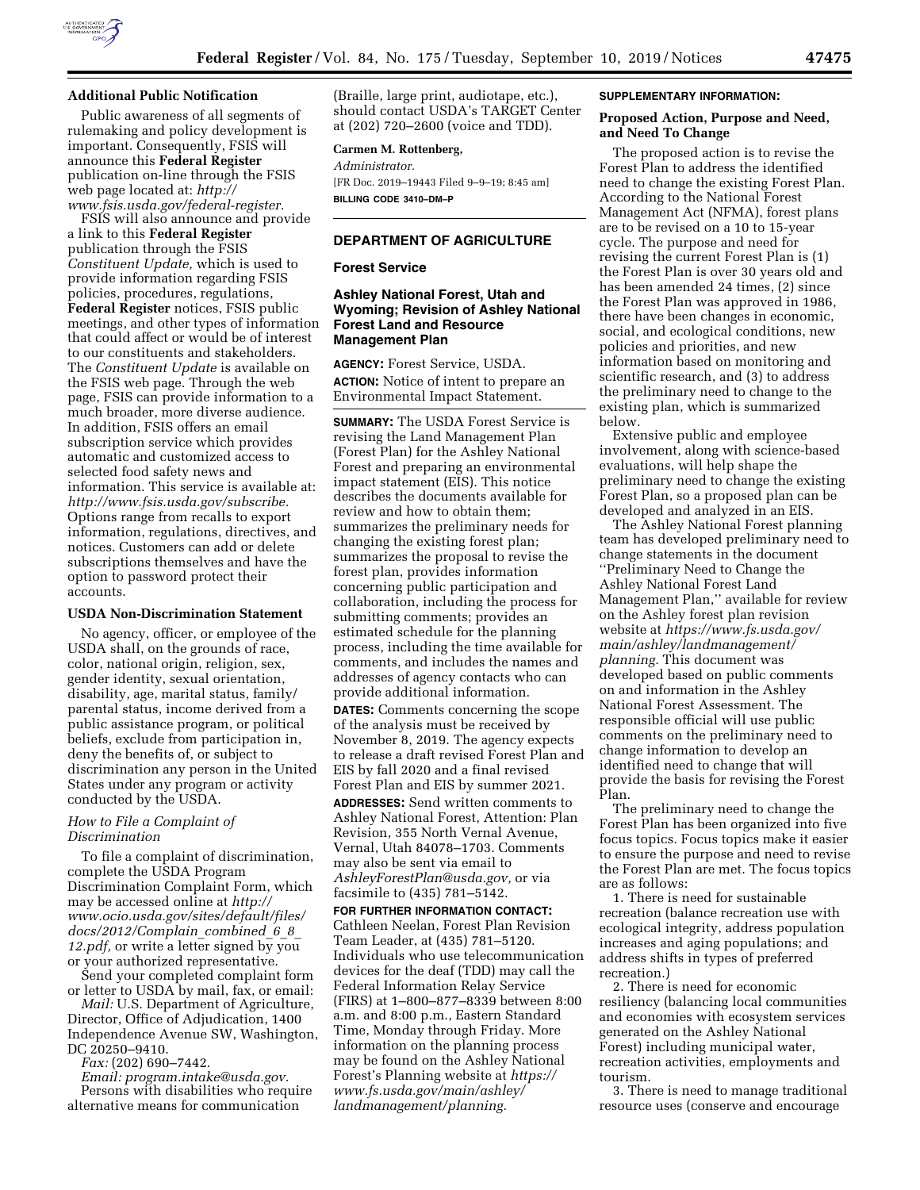

### **Additional Public Notification**

Public awareness of all segments of rulemaking and policy development is important. Consequently, FSIS will announce this **Federal Register**  publication on-line through the FSIS web page located at: *[http://](http://www.fsis.usda.gov/federal-register) [www.fsis.usda.gov/federal-register.](http://www.fsis.usda.gov/federal-register)* 

FSIS will also announce and provide a link to this **Federal Register**  publication through the FSIS *Constituent Update,* which is used to provide information regarding FSIS policies, procedures, regulations, **Federal Register** notices, FSIS public meetings, and other types of information that could affect or would be of interest to our constituents and stakeholders. The *Constituent Update* is available on the FSIS web page. Through the web page, FSIS can provide information to a much broader, more diverse audience. In addition, FSIS offers an email subscription service which provides automatic and customized access to selected food safety news and information. This service is available at: *[http://www.fsis.usda.gov/subscribe.](http://www.fsis.usda.gov/subscribe)*  Options range from recalls to export information, regulations, directives, and notices. Customers can add or delete subscriptions themselves and have the option to password protect their accounts.

### **USDA Non-Discrimination Statement**

No agency, officer, or employee of the USDA shall, on the grounds of race, color, national origin, religion, sex, gender identity, sexual orientation, disability, age, marital status, family/ parental status, income derived from a public assistance program, or political beliefs, exclude from participation in, deny the benefits of, or subject to discrimination any person in the United States under any program or activity conducted by the USDA.

## *How to File a Complaint of Discrimination*

To file a complaint of discrimination, complete the USDA Program Discrimination Complaint Form, which may be accessed online at *[http://](http://www.ocio.usda.gov/sites/default/files/docs/2012/Complain_combined_6_8_12.pdf) [www.ocio.usda.gov/sites/default/files/](http://www.ocio.usda.gov/sites/default/files/docs/2012/Complain_combined_6_8_12.pdf) [docs/2012/Complain](http://www.ocio.usda.gov/sites/default/files/docs/2012/Complain_combined_6_8_12.pdf)*\_*combined*\_*6*\_*8*\_ *[12.pdf,](http://www.ocio.usda.gov/sites/default/files/docs/2012/Complain_combined_6_8_12.pdf)* or write a letter signed by you or your authorized representative.

Send your completed complaint form or letter to USDA by mail, fax, or email:

*Mail:* U.S. Department of Agriculture, Director, Office of Adjudication, 1400 Independence Avenue SW, Washington, DC 20250–9410.

*Fax:* (202) 690–7442.

*Email: [program.intake@usda.gov.](mailto:program.intake@usda.gov)*  Persons with disabilities who require alternative means for communication

(Braille, large print, audiotape, etc.), should contact USDA's TARGET Center at (202) 720–2600 (voice and TDD).

### **Carmen M. Rottenberg,**

*Administrator.* 

[FR Doc. 2019–19443 Filed 9–9–19; 8:45 am] **BILLING CODE 3410–DM–P** 

# **DEPARTMENT OF AGRICULTURE**

#### **Forest Service**

# **Ashley National Forest, Utah and Wyoming; Revision of Ashley National Forest Land and Resource Management Plan**

**AGENCY:** Forest Service, USDA. **ACTION:** Notice of intent to prepare an Environmental Impact Statement.

**SUMMARY:** The USDA Forest Service is revising the Land Management Plan (Forest Plan) for the Ashley National Forest and preparing an environmental impact statement (EIS). This notice describes the documents available for review and how to obtain them; summarizes the preliminary needs for changing the existing forest plan; summarizes the proposal to revise the forest plan, provides information concerning public participation and collaboration, including the process for submitting comments; provides an estimated schedule for the planning process, including the time available for comments, and includes the names and addresses of agency contacts who can provide additional information.

**DATES:** Comments concerning the scope of the analysis must be received by November 8, 2019. The agency expects to release a draft revised Forest Plan and EIS by fall 2020 and a final revised Forest Plan and EIS by summer 2021. **ADDRESSES:** Send written comments to Ashley National Forest, Attention: Plan Revision, 355 North Vernal Avenue, Vernal, Utah 84078–1703. Comments may also be sent via email to *[AshleyForestPlan@usda.gov,](mailto:AshleyForestPlan@usda.gov)* or via facsimile to (435) 781–5142.

**FOR FURTHER INFORMATION CONTACT:**  Cathleen Neelan, Forest Plan Revision Team Leader, at (435) 781–5120. Individuals who use telecommunication devices for the deaf (TDD) may call the Federal Information Relay Service (FIRS) at 1–800–877–8339 between 8:00 a.m. and 8:00 p.m., Eastern Standard Time, Monday through Friday. More information on the planning process may be found on the Ashley National Forest's Planning website at *[https://](https://www.fs.usda.gov/main/ashley/landmanagement/planning) [www.fs.usda.gov/main/ashley/](https://www.fs.usda.gov/main/ashley/landmanagement/planning)  [landmanagement/planning.](https://www.fs.usda.gov/main/ashley/landmanagement/planning)* 

#### **SUPPLEMENTARY INFORMATION:**

## **Proposed Action, Purpose and Need, and Need To Change**

The proposed action is to revise the Forest Plan to address the identified need to change the existing Forest Plan. According to the National Forest Management Act (NFMA), forest plans are to be revised on a 10 to 15-year cycle. The purpose and need for revising the current Forest Plan is (1) the Forest Plan is over 30 years old and has been amended 24 times, (2) since the Forest Plan was approved in 1986, there have been changes in economic, social, and ecological conditions, new policies and priorities, and new information based on monitoring and scientific research, and (3) to address the preliminary need to change to the existing plan, which is summarized below.

Extensive public and employee involvement, along with science-based evaluations, will help shape the preliminary need to change the existing Forest Plan, so a proposed plan can be developed and analyzed in an EIS.

The Ashley National Forest planning team has developed preliminary need to change statements in the document ''Preliminary Need to Change the Ashley National Forest Land Management Plan,'' available for review on the Ashley forest plan revision website at *[https://www.fs.usda.gov/](https://www.fs.usda.gov/main/ashley/landmanagement/planning) [main/ashley/landmanagement/](https://www.fs.usda.gov/main/ashley/landmanagement/planning)  [planning.](https://www.fs.usda.gov/main/ashley/landmanagement/planning)* This document was developed based on public comments on and information in the Ashley National Forest Assessment. The responsible official will use public comments on the preliminary need to change information to develop an identified need to change that will provide the basis for revising the Forest Plan.

The preliminary need to change the Forest Plan has been organized into five focus topics. Focus topics make it easier to ensure the purpose and need to revise the Forest Plan are met. The focus topics are as follows:

1. There is need for sustainable recreation (balance recreation use with ecological integrity, address population increases and aging populations; and address shifts in types of preferred recreation.)

2. There is need for economic resiliency (balancing local communities and economies with ecosystem services generated on the Ashley National Forest) including municipal water, recreation activities, employments and tourism.

3. There is need to manage traditional resource uses (conserve and encourage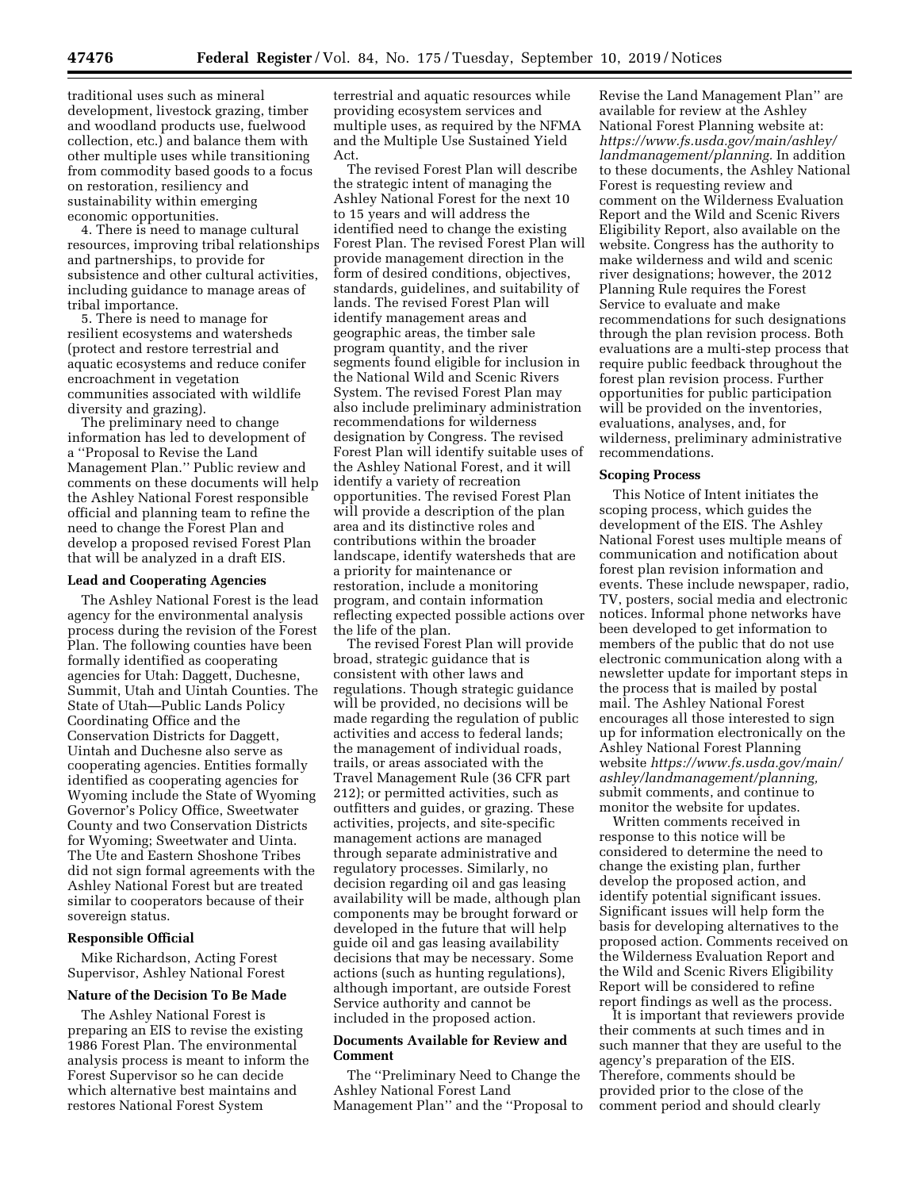traditional uses such as mineral development, livestock grazing, timber and woodland products use, fuelwood collection, etc.) and balance them with other multiple uses while transitioning from commodity based goods to a focus on restoration, resiliency and sustainability within emerging economic opportunities.

4. There is need to manage cultural resources, improving tribal relationships and partnerships, to provide for subsistence and other cultural activities, including guidance to manage areas of tribal importance.

5. There is need to manage for resilient ecosystems and watersheds (protect and restore terrestrial and aquatic ecosystems and reduce conifer encroachment in vegetation communities associated with wildlife diversity and grazing).

The preliminary need to change information has led to development of a ''Proposal to Revise the Land Management Plan.'' Public review and comments on these documents will help the Ashley National Forest responsible official and planning team to refine the need to change the Forest Plan and develop a proposed revised Forest Plan that will be analyzed in a draft EIS.

#### **Lead and Cooperating Agencies**

The Ashley National Forest is the lead agency for the environmental analysis process during the revision of the Forest Plan. The following counties have been formally identified as cooperating agencies for Utah: Daggett, Duchesne, Summit, Utah and Uintah Counties. The State of Utah—Public Lands Policy Coordinating Office and the Conservation Districts for Daggett, Uintah and Duchesne also serve as cooperating agencies. Entities formally identified as cooperating agencies for Wyoming include the State of Wyoming Governor's Policy Office, Sweetwater County and two Conservation Districts for Wyoming; Sweetwater and Uinta. The Ute and Eastern Shoshone Tribes did not sign formal agreements with the Ashley National Forest but are treated similar to cooperators because of their sovereign status.

### **Responsible Official**

Mike Richardson, Acting Forest Supervisor, Ashley National Forest

#### **Nature of the Decision To Be Made**

The Ashley National Forest is preparing an EIS to revise the existing 1986 Forest Plan. The environmental analysis process is meant to inform the Forest Supervisor so he can decide which alternative best maintains and restores National Forest System

terrestrial and aquatic resources while providing ecosystem services and multiple uses, as required by the NFMA and the Multiple Use Sustained Yield Act.

The revised Forest Plan will describe the strategic intent of managing the Ashley National Forest for the next 10 to 15 years and will address the identified need to change the existing Forest Plan. The revised Forest Plan will provide management direction in the form of desired conditions, objectives, standards, guidelines, and suitability of lands. The revised Forest Plan will identify management areas and geographic areas, the timber sale program quantity, and the river segments found eligible for inclusion in the National Wild and Scenic Rivers System. The revised Forest Plan may also include preliminary administration recommendations for wilderness designation by Congress. The revised Forest Plan will identify suitable uses of the Ashley National Forest, and it will identify a variety of recreation opportunities. The revised Forest Plan will provide a description of the plan area and its distinctive roles and contributions within the broader landscape, identify watersheds that are a priority for maintenance or restoration, include a monitoring program, and contain information reflecting expected possible actions over the life of the plan.

The revised Forest Plan will provide broad, strategic guidance that is consistent with other laws and regulations. Though strategic guidance will be provided, no decisions will be made regarding the regulation of public activities and access to federal lands; the management of individual roads, trails, or areas associated with the Travel Management Rule (36 CFR part 212); or permitted activities, such as outfitters and guides, or grazing. These activities, projects, and site-specific management actions are managed through separate administrative and regulatory processes. Similarly, no decision regarding oil and gas leasing availability will be made, although plan components may be brought forward or developed in the future that will help guide oil and gas leasing availability decisions that may be necessary. Some actions (such as hunting regulations), although important, are outside Forest Service authority and cannot be included in the proposed action.

#### **Documents Available for Review and Comment**

The ''Preliminary Need to Change the Ashley National Forest Land Management Plan'' and the ''Proposal to

Revise the Land Management Plan'' are available for review at the Ashley National Forest Planning website at: *[https://www.fs.usda.gov/main/ashley/](https://www.fs.usda.gov/main/ashley/landmanagement/planning) [landmanagement/planning.](https://www.fs.usda.gov/main/ashley/landmanagement/planning)* In addition to these documents, the Ashley National Forest is requesting review and comment on the Wilderness Evaluation Report and the Wild and Scenic Rivers Eligibility Report, also available on the website. Congress has the authority to make wilderness and wild and scenic river designations; however, the 2012 Planning Rule requires the Forest Service to evaluate and make recommendations for such designations through the plan revision process. Both evaluations are a multi-step process that require public feedback throughout the forest plan revision process. Further opportunities for public participation will be provided on the inventories, evaluations, analyses, and, for wilderness, preliminary administrative recommendations.

#### **Scoping Process**

This Notice of Intent initiates the scoping process, which guides the development of the EIS. The Ashley National Forest uses multiple means of communication and notification about forest plan revision information and events. These include newspaper, radio, TV, posters, social media and electronic notices. Informal phone networks have been developed to get information to members of the public that do not use electronic communication along with a newsletter update for important steps in the process that is mailed by postal mail. The Ashley National Forest encourages all those interested to sign up for information electronically on the Ashley National Forest Planning website *[https://www.fs.usda.gov/main/](https://www.fs.usda.gov/main/ashley/landmanagement/planning)  [ashley/landmanagement/planning,](https://www.fs.usda.gov/main/ashley/landmanagement/planning)*  submit comments, and continue to monitor the website for updates.

Written comments received in response to this notice will be considered to determine the need to change the existing plan, further develop the proposed action, and identify potential significant issues. Significant issues will help form the basis for developing alternatives to the proposed action. Comments received on the Wilderness Evaluation Report and the Wild and Scenic Rivers Eligibility Report will be considered to refine report findings as well as the process.

It is important that reviewers provide their comments at such times and in such manner that they are useful to the agency's preparation of the EIS. Therefore, comments should be provided prior to the close of the comment period and should clearly